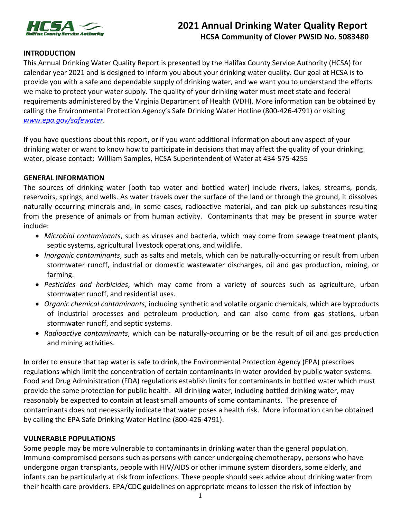

# **2021 Annual Drinking Water Quality Report** **HCSA Community of Clover PWSID No. 5083480**

### **INTRODUCTION**

This Annual Drinking Water Quality Report is presented by the Halifax County Service Authority (HCSA) for calendar year 2021 and is designed to inform you about your drinking water quality. Our goal at HCSA is to provide you with a safe and dependable supply of drinking water, and we want you to understand the efforts we make to protect your water supply. The quality of your drinking water must meet state and federal requirements administered by the Virginia Department of Health (VDH). More information can be obtained by calling the Environmental Protection Agency's Safe Drinking Water Hotline (800-426-4791) or visiting *www.epa.gov/safewater*.

If you have questions about this report, or if you want additional information about any aspect of your drinking water or want to know how to participate in decisions that may affect the quality of your drinking water, please contact: William Samples, HCSA Superintendent of Water at 434-575-4255

#### **GENERAL INFORMATION**

The sources of drinking water [both tap water and bottled water] include rivers, lakes, streams, ponds, reservoirs, springs, and wells. As water travels over the surface of the land or through the ground, it dissolves naturally occurring minerals and, in some cases, radioactive material, and can pick up substances resulting from the presence of animals or from human activity. Contaminants that may be present in source water include:

- *Microbial contaminants*, such as viruses and bacteria, which may come from sewage treatment plants, septic systems, agricultural livestock operations, and wildlife.
- *Inorganic contaminants*, such as salts and metals, which can be naturally-occurring or result from urban stormwater runoff, industrial or domestic wastewater discharges, oil and gas production, mining, or farming.
- *Pesticides and herbicides*, which may come from a variety of sources such as agriculture, urban stormwater runoff, and residential uses.
- *Organic chemical contaminants*, including synthetic and volatile organic chemicals, which are byproducts of industrial processes and petroleum production, and can also come from gas stations, urban stormwater runoff, and septic systems.
- *Radioactive contaminants*, which can be naturally-occurring or be the result of oil and gas production and mining activities.

In order to ensure that tap water is safe to drink, the Environmental Protection Agency (EPA) prescribes regulations which limit the concentration of certain contaminants in water provided by public water systems. Food and Drug Administration (FDA) regulations establish limits for contaminants in bottled water which must provide the same protection for public health. All drinking water, including bottled drinking water, may reasonably be expected to contain at least small amounts of some contaminants. The presence of contaminants does not necessarily indicate that water poses a health risk. More information can be obtained by calling the EPA Safe Drinking Water Hotline (800-426-4791).

#### **VULNERABLE POPULATIONS**

Some people may be more vulnerable to contaminants in drinking water than the general population. Immuno-compromised persons such as persons with cancer undergoing chemotherapy, persons who have undergone organ transplants, people with HIV/AIDS or other immune system disorders, some elderly, and infants can be particularly at risk from infections. These people should seek advice about drinking water from their health care providers. EPA/CDC guidelines on appropriate means to lessen the risk of infection by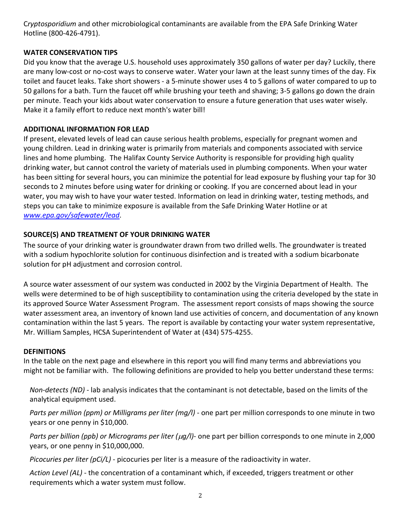C*ryptosporidium* and other microbiological contaminants are available from the EPA Safe Drinking Water Hotline (800-426-4791).

## **WATER CONSERVATION TIPS**

Did you know that the average U.S. household uses approximately 350 gallons of water per day? Luckily, there are many low-cost or no-cost ways to conserve water. Water your lawn at the least sunny times of the day. Fix toilet and faucet leaks. Take short showers - a 5-minute shower uses 4 to 5 gallons of water compared to up to 50 gallons for a bath. Turn the faucet off while brushing your teeth and shaving; 3-5 gallons go down the drain per minute. Teach your kids about water conservation to ensure a future generation that uses water wisely. Make it a family effort to reduce next month's water bill!

# **ADDITIONAL INFORMATION FOR LEAD**

If present, elevated levels of lead can cause serious health problems, especially for pregnant women and young children. Lead in drinking water is primarily from materials and components associated with service lines and home plumbing. The Halifax County Service Authority is responsible for providing high quality drinking water, but cannot control the variety of materials used in plumbing components. When your water has been sitting for several hours, you can minimize the potential for lead exposure by flushing your tap for 30 seconds to 2 minutes before using water for drinking or cooking. If you are concerned about lead in your water, you may wish to have your water tested. Information on lead in drinking water, testing methods, and steps you can take to minimize exposure is available from the Safe Drinking Water Hotline or at *[www.epa.gov/safewater/lead](http://www.epa.gov/safewater/lead)*.

# **SOURCE(S) AND TREATMENT OF YOUR DRINKING WATER**

The source of your drinking water is groundwater drawn from two drilled wells. The groundwater is treated with a sodium hypochlorite solution for continuous disinfection and is treated with a sodium bicarbonate solution for pH adjustment and corrosion control.

A source water assessment of our system was conducted in 2002 by the Virginia Department of Health. The wells were determined to be of high susceptibility to contamination using the criteria developed by the state in its approved Source Water Assessment Program. The assessment report consists of maps showing the source water assessment area, an inventory of known land use activities of concern, and documentation of any known contamination within the last 5 years. The report is available by contacting your water system representative, Mr. William Samples, HCSA Superintendent of Water at (434) 575-4255.

## **DEFINITIONS**

In the table on the next page and elsewhere in this report you will find many terms and abbreviations you might not be familiar with. The following definitions are provided to help you better understand these terms:

*Non-detects (ND) -* lab analysis indicates that the contaminant is not detectable, based on the limits of the analytical equipment used.

*Parts per million (ppm) or Milligrams per liter (mg/l)* - one part per million corresponds to one minute in two years or one penny in \$10,000.

*Parts per billion (ppb) or Micrograms per liter (*µ*g/l)*- one part per billion corresponds to one minute in 2,000 years, or one penny in \$10,000,000.

*Picocuries per liter (pCi/L)* - picocuries per liter is a measure of the radioactivity in water.

*Action Level (AL)* - the concentration of a contaminant which, if exceeded, triggers treatment or other requirements which a water system must follow.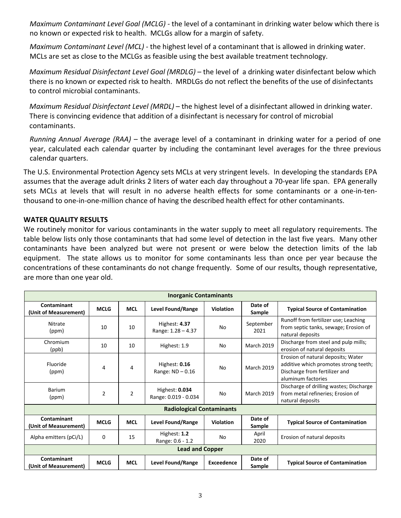*Maximum Contaminant Level Goal (MCLG) -* the level of a contaminant in drinking water below which there is no known or expected risk to health. MCLGs allow for a margin of safety.

*Maximum Contaminant Level (MCL)* - the highest level of a contaminant that is allowed in drinking water. MCLs are set as close to the MCLGs as feasible using the best available treatment technology.

*Maximum Residual Disinfectant Level Goal (MRDLG)* - the level of a drinking water disinfectant below which there is no known or expected risk to health. MRDLGs do not reflect the benefits of the use of disinfectants to control microbial contaminants.

*Maximum Residual Disinfectant Level (MRDL)* – the highest level of a disinfectant allowed in drinking water. There is convincing evidence that addition of a disinfectant is necessary for control of microbial contaminants.

*Running Annual Average (RAA)* – the average level of a contaminant in drinking water for a period of one year, calculated each calendar quarter by including the contaminant level averages for the three previous calendar quarters.

The U.S. Environmental Protection Agency sets MCLs at very stringent levels. In developing the standards EPA assumes that the average adult drinks 2 liters of water each day throughout a 70-year life span. EPA generally sets MCLs at levels that will result in no adverse health effects for some contaminants or a one-in-tenthousand to one-in-one-million chance of having the described health effect for other contaminants.

### **WATER QUALITY RESULTS**

We routinely monitor for various contaminants in the water supply to meet all regulatory requirements. The table below lists only those contaminants that had some level of detection in the last five years. Many other contaminants have been analyzed but were not present or were below the detection limits of the lab equipment. The state allows us to monitor for some contaminants less than once per year because the concentrations of these contaminants do not change frequently. Some of our results, though representative, are more than one year old.

| <b>Inorganic Contaminants</b>        |                |                |                                        |                  |                   |                                                                                                                                    |  |  |  |
|--------------------------------------|----------------|----------------|----------------------------------------|------------------|-------------------|------------------------------------------------------------------------------------------------------------------------------------|--|--|--|
| Contaminant<br>(Unit of Measurement) | <b>MCLG</b>    | <b>MCL</b>     | Level Found/Range                      | <b>Violation</b> | Date of<br>Sample | <b>Typical Source of Contamination</b>                                                                                             |  |  |  |
| <b>Nitrate</b><br>(ppm)              | 10             | 10             | Highest: 4.37<br>Range: $1.28 - 4.37$  | No               | September<br>2021 | Runoff from fertilizer use; Leaching<br>from septic tanks, sewage; Erosion of<br>natural deposits                                  |  |  |  |
| Chromium<br>(ppb)                    | 10             | 10             | Highest: 1.9                           | No               | <b>March 2019</b> | Discharge from steel and pulp mills;<br>erosion of natural deposits                                                                |  |  |  |
| Fluoride<br>(ppm)                    | 4              | 4              | Highest: 0.16<br>Range: $ND - 0.16$    | No               | <b>March 2019</b> | Erosion of natural deposits; Water<br>additive which promotes strong teeth;<br>Discharge from fertilizer and<br>aluminum factories |  |  |  |
| <b>Barium</b><br>(ppm)               | $\overline{2}$ | $\overline{2}$ | Highest: 0.034<br>Range: 0.019 - 0.034 | No               | <b>March 2019</b> | Discharge of drilling wastes; Discharge<br>from metal refineries; Erosion of<br>natural deposits                                   |  |  |  |
| <b>Radiological Contaminants</b>     |                |                |                                        |                  |                   |                                                                                                                                    |  |  |  |
| Contaminant<br>(Unit of Measurement) | <b>MCLG</b>    | <b>MCL</b>     | Level Found/Range                      | <b>Violation</b> | Date of<br>Sample | <b>Typical Source of Contamination</b>                                                                                             |  |  |  |
| Alpha emitters (pCi/L)               | 0              | 15             | Highest: 1.2<br>Range: 0.6 - 1.2       | No               | April<br>2020     | Erosion of natural deposits                                                                                                        |  |  |  |
| <b>Lead and Copper</b>               |                |                |                                        |                  |                   |                                                                                                                                    |  |  |  |
| Contaminant<br>(Unit of Measurement) | <b>MCLG</b>    | <b>MCL</b>     | Level Found/Range                      | Exceedence       | Date of<br>Sample | <b>Typical Source of Contamination</b>                                                                                             |  |  |  |